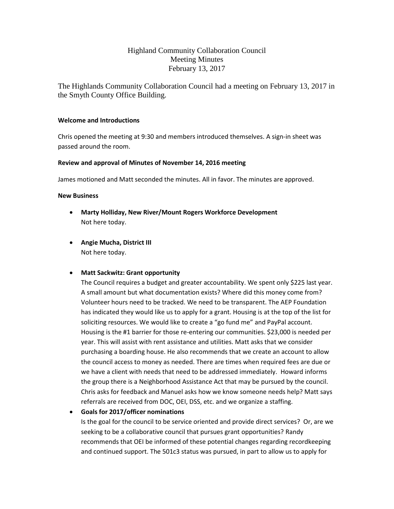# Highland Community Collaboration Council Meeting Minutes February 13, 2017

The Highlands Community Collaboration Council had a meeting on February 13, 2017 in the Smyth County Office Building.

#### **Welcome and Introductions**

Chris opened the meeting at 9:30 and members introduced themselves. A sign-in sheet was passed around the room.

### **Review and approval of Minutes of November 14, 2016 meeting**

James motioned and Matt seconded the minutes. All in favor. The minutes are approved.

#### **New Business**

- **Marty Holliday, New River/Mount Rogers Workforce Development** Not here today.
- **Angie Mucha, District III** Not here today.

## **Matt Sackwitz: Grant opportunity**

The Council requires a budget and greater accountability. We spent only \$225 last year. A small amount but what documentation exists? Where did this money come from? Volunteer hours need to be tracked. We need to be transparent. The AEP Foundation has indicated they would like us to apply for a grant. Housing is at the top of the list for soliciting resources. We would like to create a "go fund me" and PayPal account. Housing is the #1 barrier for those re-entering our communities. \$23,000 is needed per year. This will assist with rent assistance and utilities. Matt asks that we consider purchasing a boarding house. He also recommends that we create an account to allow the council access to money as needed. There are times when required fees are due or we have a client with needs that need to be addressed immediately. Howard informs the group there is a Neighborhood Assistance Act that may be pursued by the council. Chris asks for feedback and Manuel asks how we know someone needs help? Matt says referrals are received from DOC, OEI, DSS, etc. and we organize a staffing.

## **Goals for 2017/officer nominations**

Is the goal for the council to be service oriented and provide direct services? Or, are we seeking to be a collaborative council that pursues grant opportunities? Randy recommends that OEI be informed of these potential changes regarding recordkeeping and continued support. The 501c3 status was pursued, in part to allow us to apply for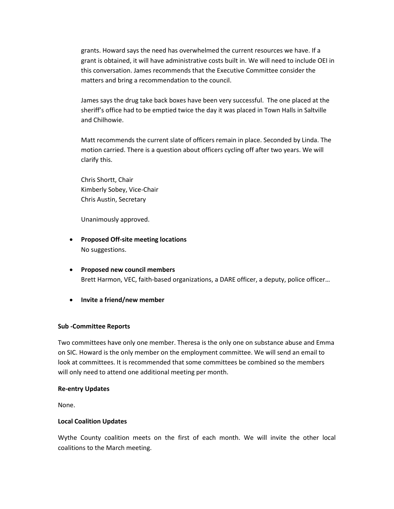grants. Howard says the need has overwhelmed the current resources we have. If a grant is obtained, it will have administrative costs built in. We will need to include OEI in this conversation. James recommends that the Executive Committee consider the matters and bring a recommendation to the council.

James says the drug take back boxes have been very successful. The one placed at the sheriff's office had to be emptied twice the day it was placed in Town Halls in Saltville and Chilhowie.

Matt recommends the current slate of officers remain in place. Seconded by Linda. The motion carried. There is a question about officers cycling off after two years. We will clarify this.

Chris Shortt, Chair Kimberly Sobey, Vice-Chair Chris Austin, Secretary

Unanimously approved.

- **Proposed Off-site meeting locations** No suggestions.
- **Proposed new council members** Brett Harmon, VEC, faith-based organizations, a DARE officer, a deputy, police officer…
- **Invite a friend/new member**

#### **Sub -Committee Reports**

Two committees have only one member. Theresa is the only one on substance abuse and Emma on SIC. Howard is the only member on the employment committee. We will send an email to look at committees. It is recommended that some committees be combined so the members will only need to attend one additional meeting per month.

#### **Re-entry Updates**

None.

#### **Local Coalition Updates**

Wythe County coalition meets on the first of each month. We will invite the other local coalitions to the March meeting.